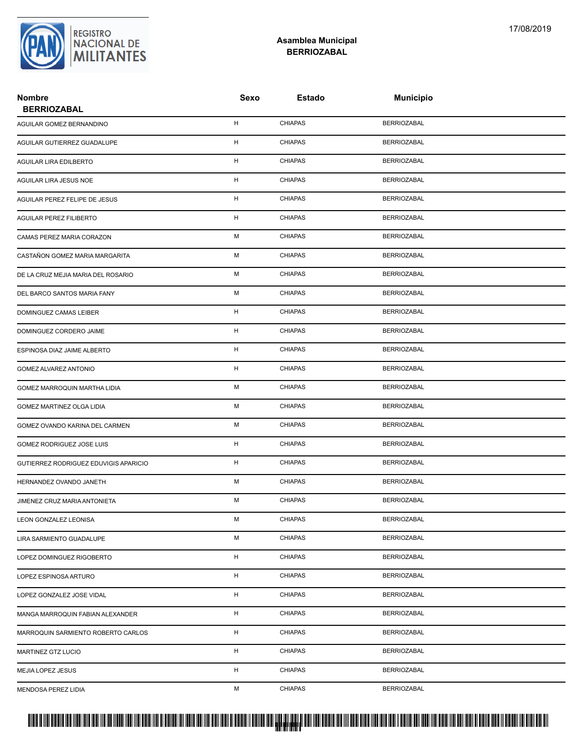

## **Asamblea Municipal BERRIOZABAL**

| <b>Nombre</b><br><b>BERRIOZABAL</b>   | Sexo | Estado         | <b>Municipio</b>   |  |
|---------------------------------------|------|----------------|--------------------|--|
| AGUILAR GOMEZ BERNANDINO              | H    | <b>CHIAPAS</b> | <b>BERRIOZABAL</b> |  |
| AGUILAR GUTIERREZ GUADALUPE           | н    | <b>CHIAPAS</b> | <b>BERRIOZABAL</b> |  |
| AGUILAR LIRA EDILBERTO                | H    | <b>CHIAPAS</b> | <b>BERRIOZABAL</b> |  |
| AGUILAR LIRA JESUS NOE                | н    | <b>CHIAPAS</b> | <b>BERRIOZABAL</b> |  |
| AGUILAR PEREZ FELIPE DE JESUS         | H    | <b>CHIAPAS</b> | <b>BERRIOZABAL</b> |  |
| <b>AGUILAR PEREZ FILIBERTO</b>        | н    | <b>CHIAPAS</b> | <b>BERRIOZABAL</b> |  |
| CAMAS PEREZ MARIA CORAZON             | М    | <b>CHIAPAS</b> | <b>BERRIOZABAL</b> |  |
| CASTAÑON GOMEZ MARIA MARGARITA        | М    | <b>CHIAPAS</b> | <b>BERRIOZABAL</b> |  |
| DE LA CRUZ MEJIA MARIA DEL ROSARIO    | М    | <b>CHIAPAS</b> | <b>BERRIOZABAL</b> |  |
| DEL BARCO SANTOS MARIA FANY           | М    | <b>CHIAPAS</b> | <b>BERRIOZABAL</b> |  |
| DOMINGUEZ CAMAS LEIBER                | н    | <b>CHIAPAS</b> | <b>BERRIOZABAL</b> |  |
| DOMINGUEZ CORDERO JAIME               | н    | <b>CHIAPAS</b> | <b>BERRIOZABAL</b> |  |
| ESPINOSA DIAZ JAIME ALBERTO           | н    | <b>CHIAPAS</b> | <b>BERRIOZABAL</b> |  |
| GOMEZ ALVAREZ ANTONIO                 | Н    | <b>CHIAPAS</b> | <b>BERRIOZABAL</b> |  |
| GOMEZ MARROQUIN MARTHA LIDIA          | М    | <b>CHIAPAS</b> | <b>BERRIOZABAL</b> |  |
| GOMEZ MARTINEZ OLGA LIDIA             | М    | <b>CHIAPAS</b> | <b>BERRIOZABAL</b> |  |
| GOMEZ OVANDO KARINA DEL CARMEN        | М    | <b>CHIAPAS</b> | <b>BERRIOZABAL</b> |  |
| GOMEZ RODRIGUEZ JOSE LUIS             | H    | <b>CHIAPAS</b> | <b>BERRIOZABAL</b> |  |
| GUTIERREZ RODRIGUEZ EDUVIGIS APARICIO | Н    | <b>CHIAPAS</b> | <b>BERRIOZABAL</b> |  |
| HERNANDEZ OVANDO JANETH               | М    | <b>CHIAPAS</b> | <b>BERRIOZABAL</b> |  |
| JIMENEZ CRUZ MARIA ANTONIETA          | М    | <b>CHIAPAS</b> | <b>BERRIOZABAL</b> |  |
| LEON GONZALEZ LEONISA                 | М    | <b>CHIAPAS</b> | <b>BERRIOZABAL</b> |  |
| LIRA SARMIENTO GUADALUPE              | М    | <b>CHIAPAS</b> | <b>BERRIOZABAL</b> |  |
| LOPEZ DOMINGUEZ RIGOBERTO             | H    | <b>CHIAPAS</b> | <b>BERRIOZABAL</b> |  |
| LOPEZ ESPINOSA ARTURO                 | H    | <b>CHIAPAS</b> | <b>BERRIOZABAL</b> |  |
| LOPEZ GONZALEZ JOSE VIDAL             | H    | CHIAPAS        | <b>BERRIOZABAL</b> |  |
| MANGA MARROQUIN FABIAN ALEXANDER      | H    | CHIAPAS        | <b>BERRIOZABAL</b> |  |
| MARROQUIN SARMIENTO ROBERTO CARLOS    | H    | <b>CHIAPAS</b> | <b>BERRIOZABAL</b> |  |
| MARTINEZ GTZ LUCIO                    | H    | <b>CHIAPAS</b> | <b>BERRIOZABAL</b> |  |
| MEJIA LOPEZ JESUS                     | H    | <b>CHIAPAS</b> | <b>BERRIOZABAL</b> |  |
| MENDOSA PEREZ LIDIA                   | М    | <b>CHIAPAS</b> | <b>BERRIOZABAL</b> |  |

## PROTUCCION SU REGION DA SU REGIONAL DE LA SULTA SU REGIONAL DE MILITANTES CONTRADO NACIONAL DE MILITANTES CONTRADO N <mark>. Pangyakan k</mark>